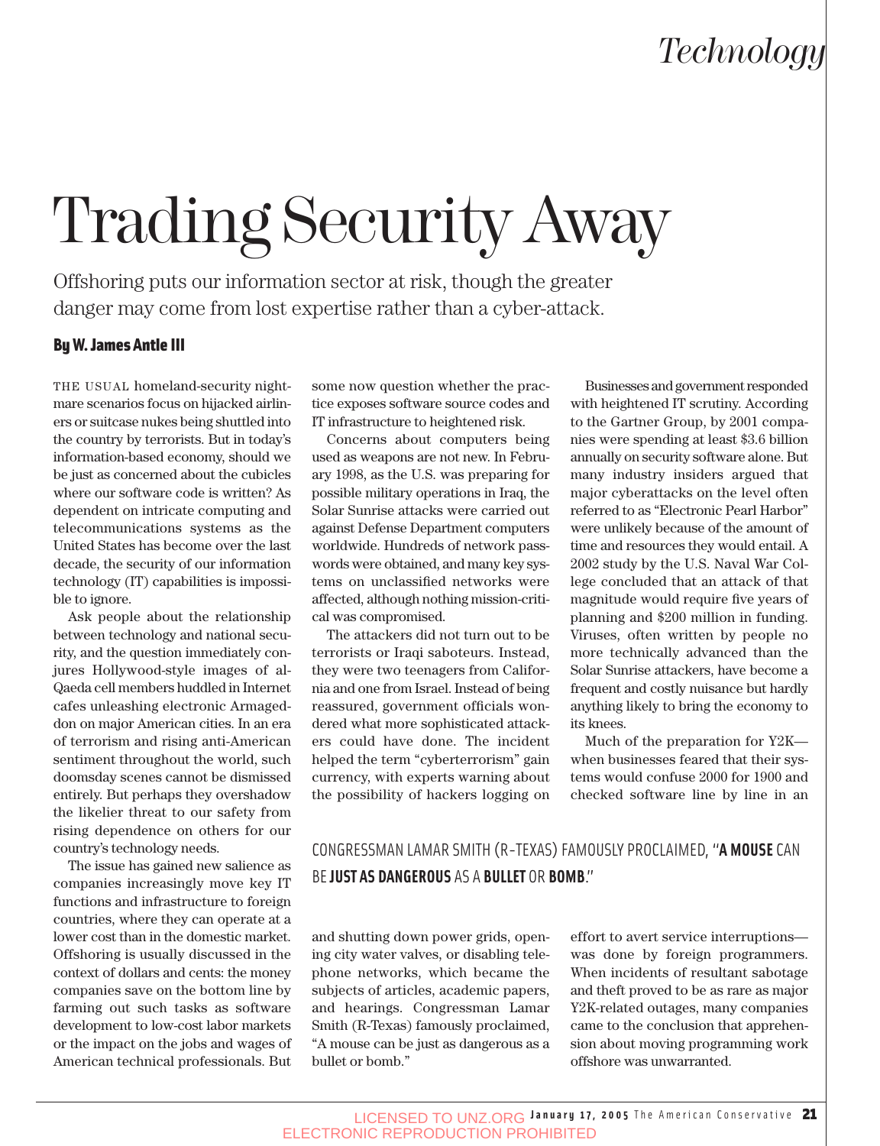## *Technology*

# Trading Security Away

Offshoring puts our information sector at risk, though the greater danger may come from lost expertise rather than a cyber-attack.

#### By W. James Antle III

THE USUAL homeland-security nightmare scenarios focus on hijacked airliners or suitcase nukes being shuttled into the country by terrorists. But in today's information-based economy, should we be just as concerned about the cubicles where our software code is written? As dependent on intricate computing and telecommunications systems as the United States has become over the last decade, the security of our information technology (IT) capabilities is impossible to ignore.

Ask people about the relationship between technology and national security, and the question immediately conjures Hollywood-style images of al-Qaeda cell members huddled in Internet cafes unleashing electronic Armageddon on major American cities. In an era of terrorism and rising anti-American sentiment throughout the world, such doomsday scenes cannot be dismissed entirely. But perhaps they overshadow the likelier threat to our safety from rising dependence on others for our country's technology needs.

The issue has gained new salience as companies increasingly move key IT functions and infrastructure to foreign countries, where they can operate at a lower cost than in the domestic market. Offshoring is usually discussed in the context of dollars and cents: the money companies save on the bottom line by farming out such tasks as software development to low-cost labor markets or the impact on the jobs and wages of American technical professionals. But some now question whether the practice exposes software source codes and IT infrastructure to heightened risk.

Concerns about computers being used as weapons are not new. In February 1998, as the U.S. was preparing for possible military operations in Iraq, the Solar Sunrise attacks were carried out against Defense Department computers worldwide. Hundreds of network passwords were obtained, and many key systems on unclassified networks were affected, although nothing mission-critical was compromised.

The attackers did not turn out to be terrorists or Iraqi saboteurs. Instead, they were two teenagers from California and one from Israel. Instead of being reassured, government officials wondered what more sophisticated attackers could have done. The incident helped the term "cyberterrorism" gain currency, with experts warning about the possibility of hackers logging on

Businesses and government responded with heightened IT scrutiny. According to the Gartner Group, by 2001 companies were spending at least \$3.6 billion annually on security software alone. But many industry insiders argued that major cyberattacks on the level often referred to as "Electronic Pearl Harbor" were unlikely because of the amount of time and resources they would entail. A 2002 study by the U.S. Naval War College concluded that an attack of that magnitude would require five years of planning and \$200 million in funding. Viruses, often written by people no more technically advanced than the Solar Sunrise attackers, have become a frequent and costly nuisance but hardly anything likely to bring the economy to its knees.

Much of the preparation for Y2K when businesses feared that their systems would confuse 2000 for 1900 and checked software line by line in an

## CONGRESSMAN LAMAR SMITH (R-TEXAS) FAMOUSLY PROCLAIMED, "**A MOUSE** CAN BE **JUST AS DANGEROUS** AS A **BULLET** OR **BOMB**."

and shutting down power grids, opening city water valves, or disabling telephone networks, which became the subjects of articles, academic papers, and hearings. Congressman Lamar Smith (R-Texas) famously proclaimed, "A mouse can be just as dangerous as a bullet or bomb."

effort to avert service interruptions was done by foreign programmers. When incidents of resultant sabotage and theft proved to be as rare as major Y2K-related outages, many companies came to the conclusion that apprehension about moving programming work offshore was unwarranted.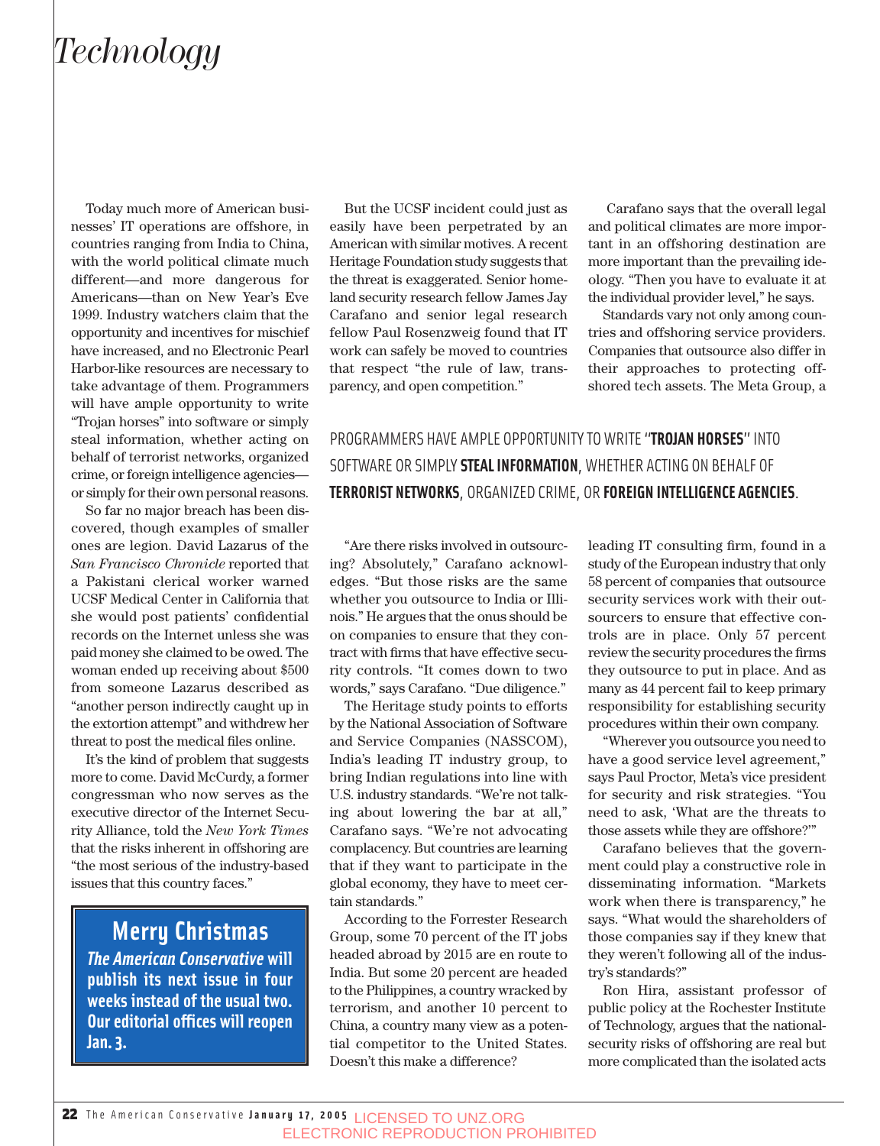## *Technology*

Today much more of American businesses' IT operations are offshore, in countries ranging from India to China, with the world political climate much different—and more dangerous for Americans—than on New Year's Eve 1999. Industry watchers claim that the opportunity and incentives for mischief have increased, and no Electronic Pearl Harbor-like resources are necessary to take advantage of them. Programmers will have ample opportunity to write "Trojan horses" into software or simply steal information, whether acting on behalf of terrorist networks, organized crime, or foreign intelligence agencies or simply for their own personal reasons.

So far no major breach has been discovered, though examples of smaller ones are legion. David Lazarus of the *San Francisco Chronicle* reported that a Pakistani clerical worker warned UCSF Medical Center in California that she would post patients' confidential records on the Internet unless she was paid money she claimed to be owed. The woman ended up receiving about \$500 from someone Lazarus described as "another person indirectly caught up in the extortion attempt" and withdrew her threat to post the medical files online.

It's the kind of problem that suggests more to come. David McCurdy, a former congressman who now serves as the executive director of the Internet Security Alliance, told the *New York Times* that the risks inherent in offshoring are "the most serious of the industry-based issues that this country faces."

## **Merry Christmas**

*The American Conservative* **will publish its next issue in four weeks instead of the usual two. Our editorial offices will reopen Jan. 3.**

But the UCSF incident could just as easily have been perpetrated by an American with similar motives. A recent Heritage Foundation study suggests that the threat is exaggerated. Senior homeland security research fellow James Jay Carafano and senior legal research fellow Paul Rosenzweig found that IT work can safely be moved to countries that respect "the rule of law, transparency, and open competition."

Carafano says that the overall legal and political climates are more important in an offshoring destination are more important than the prevailing ideology. "Then you have to evaluate it at the individual provider level," he says.

Standards vary not only among countries and offshoring service providers. Companies that outsource also differ in their approaches to protecting offshored tech assets. The Meta Group, a

PROGRAMMERS HAVE AMPLE OPPORTUNITY TO WRITE "**TROJAN HORSES**" INTO SOFTWARE OR SIMPLY **STEAL INFORMATION**, WHETHER ACTING ON BEHALF OF **TERRORIST NETWORKS**, ORGANIZED CRIME, OR **FOREIGN INTELLIGENCE AGENCIES**.

"Are there risks involved in outsourcing? Absolutely," Carafano acknowledges. "But those risks are the same whether you outsource to India or Illinois." He argues that the onus should be on companies to ensure that they contract with firms that have effective security controls. "It comes down to two words," says Carafano. "Due diligence."

The Heritage study points to efforts by the National Association of Software and Service Companies (NASSCOM), India's leading IT industry group, to bring Indian regulations into line with U.S. industry standards. "We're not talking about lowering the bar at all," Carafano says. "We're not advocating complacency. But countries are learning that if they want to participate in the global economy, they have to meet certain standards."

According to the Forrester Research Group, some 70 percent of the IT jobs headed abroad by 2015 are en route to India. But some 20 percent are headed to the Philippines, a country wracked by terrorism, and another 10 percent to China, a country many view as a potential competitor to the United States. Doesn't this make a difference?

leading IT consulting firm, found in a study of the European industry that only 58 percent of companies that outsource security services work with their outsourcers to ensure that effective controls are in place. Only 57 percent review the security procedures the firms they outsource to put in place. And as many as 44 percent fail to keep primary responsibility for establishing security procedures within their own company.

"Wherever you outsource you need to have a good service level agreement," says Paul Proctor, Meta's vice president for security and risk strategies. "You need to ask, 'What are the threats to those assets while they are offshore?'"

Carafano believes that the government could play a constructive role in disseminating information. "Markets work when there is transparency," he says. "What would the shareholders of those companies say if they knew that they weren't following all of the industry's standards?"

Ron Hira, assistant professor of public policy at the Rochester Institute of Technology, argues that the nationalsecurity risks of offshoring are real but more complicated than the isolated acts